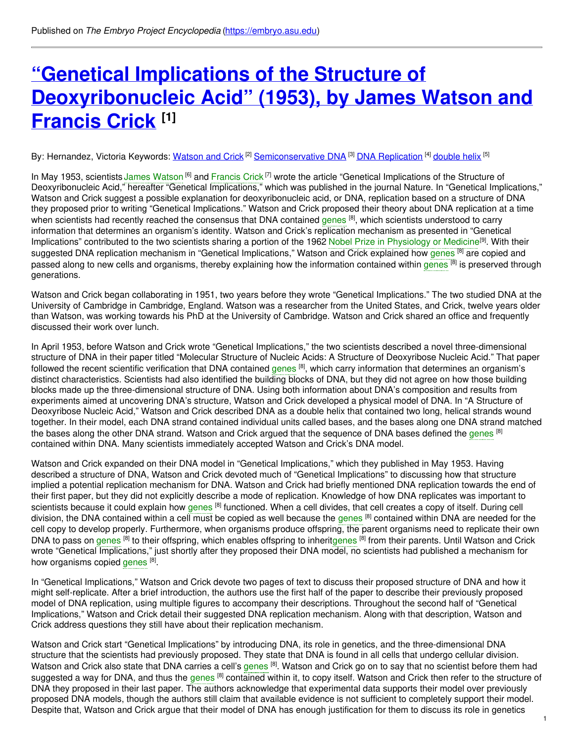# **"Genetical Implications of the Structure of [Deoxyribonucleic](https://embryo.asu.edu/pages/genetical-implications-structure-deoxyribonucleic-acid-1953-james-watson-and-francis-crick) Acid" (1953), by James Watson and Francis Crick [1]**

By: Hernandez, Victoria Keywords: <u>[Watson](https://embryo.asu.edu/keywords/watson-and-crick) and Crick</u> <sup>[2]</sup> [Semiconservative](https://embryo.asu.edu/keywords/semiconservative-dna) DNA <sup>[3]</sup> DNA [Replication](https://embryo.asu.edu/keywords/dna-replication) <sup>[4]</sup> [double](https://embryo.asu.edu/keywords/double-helix) helix <sup>[5]</sup>

In May 1953, scientists James [Watson](https://embryo.asu.edu/search?text=James%20Watson) <sup>[6]</sup> and [Francis](https://embryo.asu.edu/search?text=Francis%20Crick) Crick<sup>[7]</sup> wrote the article "Genetical Implications of the Structure of Deoxyribonucleic Acid," hereafter "Genetical Implications," which was published in the journal Nature. In "Genetical Implications," Watson and Crick suggest a possible explanation for deoxyribonucleic acid, or DNA, replication based on a structure of DNA they proposed prior to writing "Genetical Implications." Watson and Crick proposed their theory about DNA replication at a time when scientists had recently reached the consensus that DNA contained [genes](https://embryo.asu.edu/search?text=genes) <sup>[8]</sup>, which scientists understood to carry information that determines an organism's identity. Watson and Crick's replication mechanism as presented in "Genetical Implications" contributed to the two scientists sharing a portion of the 1962 Nobel Prize in [Physiology](https://embryo.asu.edu/search?text=Nobel%20Prize%20in%20Physiology%20or%20Medicine) or Medicine<sup>[9]</sup>. With their suggested DNA replication mechanism in "Genetical Implications," Watson and Crick explained how [genes](https://embryo.asu.edu/search?text=genes) <sup>[8]</sup> are copied and passed along to new cells and organisms, thereby explaining how the information contained within [genes](https://embryo.asu.edu/search?text=genes) <sup>[8]</sup> is preserved through generations.

Watson and Crick began collaborating in 1951, two years before they wrote "Genetical Implications." The two studied DNA at the University of Cambridge in Cambridge, England. Watson was a researcher from the United States, and Crick, twelve years older than Watson, was working towards his PhD at the University of Cambridge. Watson and Crick shared an office and frequently discussed their work over lunch.

In April 1953, before Watson and Crick wrote "Genetical Implications," the two scientists described a novel three-dimensional structure of DNA in their paper titled "Molecular Structure of Nucleic Acids: A Structure of Deoxyribose Nucleic Acid." That paper followed the recent scientific verification that DNA contained [genes](https://embryo.asu.edu/search?text=genes) <sup>[8]</sup>, which carry information that determines an organism's distinct characteristics. Scientists had also identified the building blocks of DNA, but they did not agree on how those building blocks made up the three-dimensional structure of DNA. Using both information about DNA's composition and results from experiments aimed at uncovering DNA's structure, Watson and Crick developed a physical model of DNA. In "A Structure of Deoxyribose Nucleic Acid," Watson and Crick described DNA as a double helix that contained two long, helical strands wound together. In their model, each DNA strand contained individual units called bases, and the bases along one DNA strand matched the bases along the other DNA strand. Watson and Crick argued that the sequence of DNA bases defined the [genes](https://embryo.asu.edu/search?text=genes) <sup>[8]</sup> contained within DNA. Many scientists immediately accepted Watson and Crick's DNA model.

Watson and Crick expanded on their DNA model in "Genetical Implications," which they published in May 1953. Having described a structure of DNA, Watson and Crick devoted much of "Genetical Implications" to discussing how that structure implied a potential replication mechanism for DNA. Watson and Crick had briefly mentioned DNA replication towards the end of their first paper, but they did not explicitly describe a mode of replication. Knowledge of how DNA replicates was important to scientists because it could explain how [genes](https://embryo.asu.edu/search?text=genes) <sup>[8]</sup> functioned. When a cell divides, that cell creates a copy of itself. During cell division, the DNA contained within a cell must be copied as well because the [genes](https://embryo.asu.edu/search?text=genes) <sup>[8]</sup> contained within DNA are needed for the cell copy to develop properly. Furthermore, when organisms produce offspring, the parent organisms need to replicate their own DNA to pass on [genes](https://embryo.asu.edu/search?text=genes) <sup>[8]</sup> to their offspring, which enables offspring to inheritgenes <sup>[8]</sup> from their parents. Until Watson and Crick wrote "Genetical Implications," just shortly after they proposed their DNA model, no scientists had published a mechanism for how organisms copied [genes](https://embryo.asu.edu/search?text=genes) [8].

In "Genetical Implications," Watson and Crick devote two pages of text to discuss their proposed structure of DNA and how it might self-replicate. After a brief introduction, the authors use the first half of the paper to describe their previously proposed model of DNA replication, using multiple figures to accompany their descriptions. Throughout the second half of "Genetical Implications," Watson and Crick detail their suggested DNA replication mechanism. Along with that description, Watson and Crick address questions they still have about their replication mechanism.

Watson and Crick start "Genetical Implications" by introducing DNA, its role in genetics, and the three-dimensional DNA structure that the scientists had previously proposed. They state that DNA is found in all cells that undergo cellular division. Watson and Crick also state that DNA carries a cell's [genes](https://embryo.asu.edu/search?text=genes) <sup>[8]</sup>. Watson and Crick go on to say that no scientist before them had suggested a way for DNA, and thus the [genes](https://embryo.asu.edu/search?text=genes) <sup>[8]</sup> contained within it, to copy itself. Watson and Crick then refer to the structure of DNA they proposed in their last paper. The authors acknowledge that experimental data supports their model over previously proposed DNA models, though the authors still claim that available evidence is not sufficient to completely support their model. Despite that, Watson and Crick argue that their model of DNA has enough justification for them to discuss its role in genetics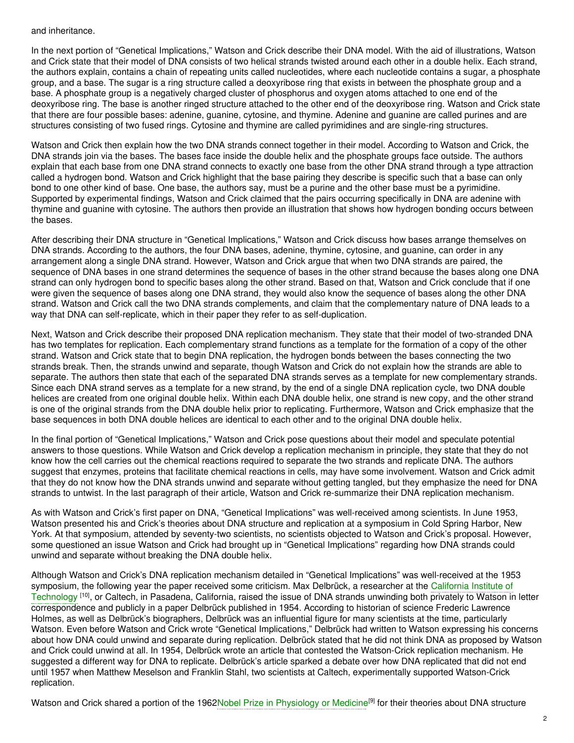#### and inheritance.

In the next portion of "Genetical Implications," Watson and Crick describe their DNA model. With the aid of illustrations, Watson and Crick state that their model of DNA consists of two helical strands twisted around each other in a double helix. Each strand, the authors explain, contains a chain of repeating units called nucleotides, where each nucleotide contains a sugar, a phosphate group, and a base. The sugar is a ring structure called a deoxyribose ring that exists in between the phosphate group and a base. A phosphate group is a negatively charged cluster of phosphorus and oxygen atoms attached to one end of the deoxyribose ring. The base is another ringed structure attached to the other end of the deoxyribose ring. Watson and Crick state that there are four possible bases: adenine, guanine, cytosine, and thymine. Adenine and guanine are called purines and are structures consisting of two fused rings. Cytosine and thymine are called pyrimidines and are single-ring structures.

Watson and Crick then explain how the two DNA strands connect together in their model. According to Watson and Crick, the DNA strands join via the bases. The bases face inside the double helix and the phosphate groups face outside. The authors explain that each base from one DNA strand connects to exactly one base from the other DNA strand through a type attraction called a hydrogen bond. Watson and Crick highlight that the base pairing they describe is specific such that a base can only bond to one other kind of base. One base, the authors say, must be a purine and the other base must be a pyrimidine. Supported by experimental findings, Watson and Crick claimed that the pairs occurring specifically in DNA are adenine with thymine and guanine with cytosine. The authors then provide an illustration that shows how hydrogen bonding occurs between the bases.

After describing their DNA structure in "Genetical Implications," Watson and Crick discuss how bases arrange themselves on DNA strands. According to the authors, the four DNA bases, adenine, thymine, cytosine, and guanine, can order in any arrangement along a single DNA strand. However, Watson and Crick argue that when two DNA strands are paired, the sequence of DNA bases in one strand determines the sequence of bases in the other strand because the bases along one DNA strand can only hydrogen bond to specific bases along the other strand. Based on that, Watson and Crick conclude that if one were given the sequence of bases along one DNA strand, they would also know the sequence of bases along the other DNA strand. Watson and Crick call the two DNA strands complements, and claim that the complementary nature of DNA leads to a way that DNA can self-replicate, which in their paper they refer to as self-duplication.

Next, Watson and Crick describe their proposed DNA replication mechanism. They state that their model of two-stranded DNA has two templates for replication. Each complementary strand functions as a template for the formation of a copy of the other strand. Watson and Crick state that to begin DNA replication, the hydrogen bonds between the bases connecting the two strands break. Then, the strands unwind and separate, though Watson and Crick do not explain how the strands are able to separate. The authors then state that each of the separated DNA strands serves as a template for new complementary strands. Since each DNA strand serves as a template for a new strand, by the end of a single DNA replication cycle, two DNA double helices are created from one original double helix. Within each DNA double helix, one strand is new copy, and the other strand is one of the original strands from the DNA double helix prior to replicating. Furthermore, Watson and Crick emphasize that the base sequences in both DNA double helices are identical to each other and to the original DNA double helix.

In the final portion of "Genetical Implications," Watson and Crick pose questions about their model and speculate potential answers to those questions. While Watson and Crick develop a replication mechanism in principle, they state that they do not know how the cell carries out the chemical reactions required to separate the two strands and replicate DNA. The authors suggest that enzymes, proteins that facilitate chemical reactions in cells, may have some involvement. Watson and Crick admit that they do not know how the DNA strands unwind and separate without getting tangled, but they emphasize the need for DNA strands to untwist. In the last paragraph of their article, Watson and Crick re-summarize their DNA replication mechanism.

As with Watson and Crick's first paper on DNA, "Genetical Implications" was well-received among scientists. In June 1953, Watson presented his and Crick's theories about DNA structure and replication at a symposium in Cold Spring Harbor, New York. At that symposium, attended by seventy-two scientists, no scientists objected to Watson and Crick's proposal. However, some questioned an issue Watson and Crick had brought up in "Genetical Implications" regarding how DNA strands could unwind and separate without breaking the DNA double helix.

Although Watson and Crick's DNA replication mechanism detailed in "Genetical Implications" was well-received at the 1953 [symposium,](https://embryo.asu.edu/search?text=California%20Institute%20of%20Technology) the following year the paper received some criticism. Max Delbrück, a researcher at the California Institute of Technology <sup>[10]</sup>, or Caltech, in Pasadena, California, raised the issue of DNA strands unwinding both privately to Watson in letter correspondence and publicly in a paper Delbrück published in 1954. According to historian of science Frederic Lawrence Holmes, as well as Delbrück's biographers, Delbrück was an influential figure for many scientists at the time, particularly Watson. Even before Watson and Crick wrote "Genetical Implications," Delbrück had written to Watson expressing his concerns about how DNA could unwind and separate during replication. Delbrück stated that he did not think DNA as proposed by Watson and Crick could unwind at all. In 1954, Delbrück wrote an article that contested the Watson-Crick replication mechanism. He suggested a different way for DNA to replicate. Delbrück's article sparked a debate over how DNA replicated that did not end until 1957 when Matthew Meselson and Franklin Stahl, two scientists at Caltech, experimentally supported Watson-Crick replication.

Watson and Crick shared a portion of the 1962Nobel Prize in [Physiology](https://embryo.asu.edu/search?text=Nobel%20Prize%20in%20Physiology%20or%20Medicine) or Medicine<sup>[9]</sup> for their theories about DNA structure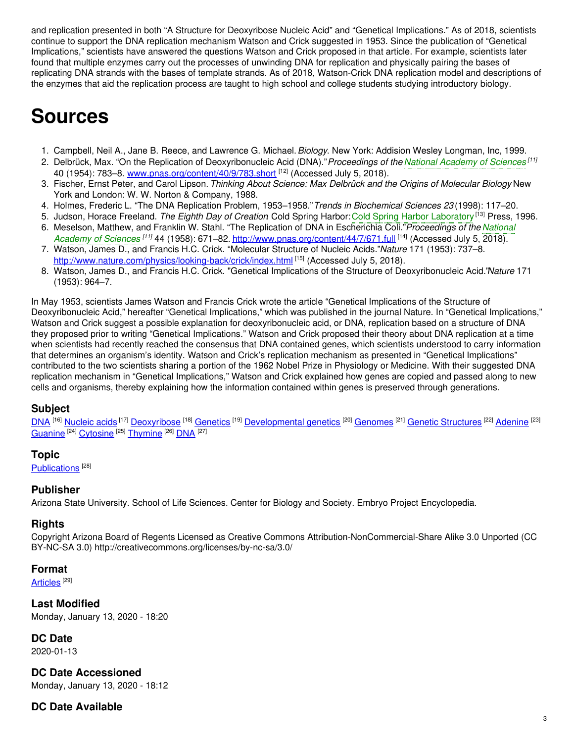and replication presented in both "A Structure for Deoxyribose Nucleic Acid" and "Genetical Implications." As of 2018, scientists continue to support the DNA replication mechanism Watson and Crick suggested in 1953. Since the publication of "Genetical Implications," scientists have answered the questions Watson and Crick proposed in that article. For example, scientists later found that multiple enzymes carry out the processes of unwinding DNA for replication and physically pairing the bases of replicating DNA strands with the bases of template strands. As of 2018, Watson-Crick DNA replication model and descriptions of the enzymes that aid the replication process are taught to high school and college students studying introductory biology.

# **Sources**

- 1. Campbell, Neil A., Jane B. Reece, and Lawrence G. Michael.*Biology*. New York: Addision Wesley Longman, Inc, 1999.
- 2. Delbrück, Max. "On the Replication of Deoxyribonucleic Acid (DNA)."*Proceedings of the National [Academy](https://embryo.asu.edu/search?text=National%20Academy%20of%20Sciences) of Sciences [11]* 40 (1954): 783–8. [www.pnas.org/content/40/9/783.short](https://embryo.asu.edu/www.pnas.org/content/40/9/783.short) <sup>[12]</sup> (Accessed July 5, 2018).
- 3. Fischer, Ernst Peter, and Carol Lipson. *Thinking About Science: Max Delbrück and the Origins of Molecular Biology*. New York and London: W. W. Norton & Company, 1988.
- 4. Holmes, Frederic L. "The DNA Replication Problem, 1953–1958."*Trends in Biochemical Sciences 23* (1998): 117–20.
- 5. Judson, Horace Freeland. *The Eighth Day of Creation*. Cold Spring Harbor:Cold Spring Harbor [Laboratory](https://embryo.asu.edu/search?text=Cold%20Spring%20Harbor%20Laboratory) [13] Press, 1996.
- 6. Meselson, Matthew, and Franklin W. Stahl. "The Replication of DNA in Escherichia Coli."*Proceedings of the National* Academy of Sciences<sup>[11]</sup> 44 (1958): 671–82. [http://www.pnas.org/content/44/7/671.full](https://embryo.asu.edu/search?text=National%20Academy%20of%20Sciences) <sup>[14]</sup> (Accessed July 5, 2018).
- 7. Watson, James D., and Francis H.C. Crick. "Molecular Structure of Nucleic Acids."*Nature* 171 (1953): 737–8. <http://www.nature.com/physics/looking-back/crick/index.html> [15] (Accessed July 5, 2018).
- 8. Watson, James D., and Francis H.C. Crick. "Genetical Implications of the Structure of Deoxyribonucleic Acid."*Nature* 171 (1953): 964–7.

In May 1953, scientists James Watson and Francis Crick wrote the article "Genetical Implications of the Structure of Deoxyribonucleic Acid," hereafter "Genetical Implications," which was published in the journal Nature. In "Genetical Implications," Watson and Crick suggest a possible explanation for deoxyribonucleic acid, or DNA, replication based on a structure of DNA they proposed prior to writing "Genetical Implications." Watson and Crick proposed their theory about DNA replication at a time when scientists had recently reached the consensus that DNA contained genes, which scientists understood to carry information that determines an organism's identity. Watson and Crick's replication mechanism as presented in "Genetical Implications" contributed to the two scientists sharing a portion of the 1962 Nobel Prize in Physiology or Medicine. With their suggested DNA replication mechanism in "Genetical Implications," Watson and Crick explained how genes are copied and passed along to new cells and organisms, thereby explaining how the information contained within genes is preserved through generations.

# **Subject**

[DNA](https://embryo.asu.edu/library-congress-subject-headings/dna) <sup>[16]</sup> [Nucleic](https://embryo.asu.edu/library-congress-subject-headings/nucleic-acids) acids<sup>[17]</sup> [Deoxyribose](https://embryo.asu.edu/library-congress-subject-headings/deoxyribose)<sup>[18]</sup> [Genetics](https://embryo.asu.edu/library-congress-subject-headings/genetics)<sup>[19]</sup> [Developmental](https://embryo.asu.edu/library-congress-subject-headings/developmental-genetics) genetics<sup>[20]</sup> [Genomes](https://embryo.asu.edu/library-congress-subject-headings/genomes)<sup>[21]</sup> Genetic [Structures](https://embryo.asu.edu/medical-subject-headings/genetic-structures)<sup>[22]</sup> [Adenine](https://embryo.asu.edu/medical-subject-headings/adenine)<sup>[23]</sup> [Guanine](https://embryo.asu.edu/medical-subject-headings/guanine) <sup>[24]</sup> [Cytosine](https://embryo.asu.edu/medical-subject-headings/cytosine) <sup>[25]</sup> [Thymine](https://embryo.asu.edu/medical-subject-headings/thymine) <sup>[26]</sup> [DNA](https://embryo.asu.edu/medical-subject-headings/dna) <sup>[27]</sup>

#### **Topic**

[Publications](https://embryo.asu.edu/topics/publications)<sup>[28]</sup>

#### **Publisher**

Arizona State University. School of Life Sciences. Center for Biology and Society. Embryo Project Encyclopedia.

#### **Rights**

Copyright Arizona Board of Regents Licensed as Creative Commons Attribution-NonCommercial-Share Alike 3.0 Unported (CC BY-NC-SA 3.0) http://creativecommons.org/licenses/by-nc-sa/3.0/

#### **Format**

[Articles](https://embryo.asu.edu/formats/articles)  $^{\rm [29]}$ 

**Last Modified** Monday, January 13, 2020 - 18:20

#### **DC Date**

2020-01-13

**DC Date Accessioned**

Monday, January 13, 2020 - 18:12

# **DC Date Available**